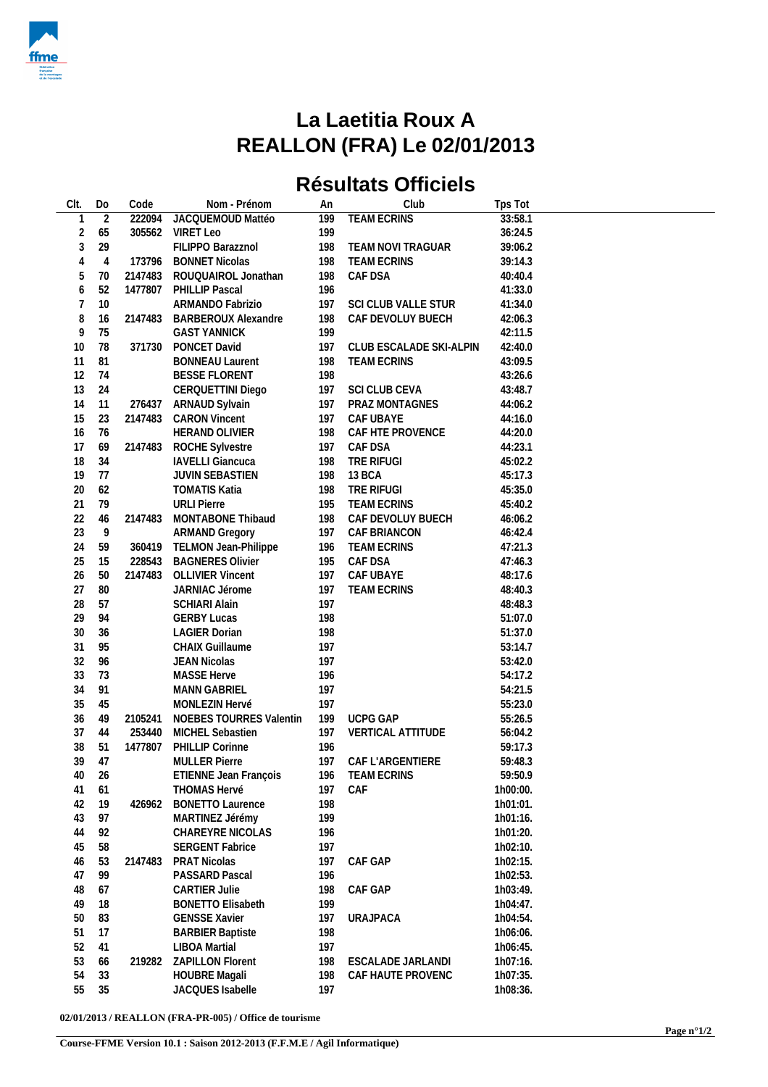

## **La Laetitia Roux A REALLON (FRA) Le 02/01/2013**

## **Résultats Officiels**

| Clt.           | Do             | Code    | Nom - Prénom                | An  | Club                    | Tps Tot  |  |
|----------------|----------------|---------|-----------------------------|-----|-------------------------|----------|--|
| $\mathbf{1}$   | $\overline{2}$ | 222094  | JACQUEMOUD Mattéo           | 199 | <b>TEAM ECRINS</b>      | 33:58.1  |  |
| $\overline{2}$ | 65             | 305562  | <b>VIRET Leo</b>            | 199 |                         | 36:24.5  |  |
| $\mathfrak{Z}$ | 29             |         | FILIPPO Barazznol           | 198 | TEAM NOVI TRAGUAR       | 39:06.2  |  |
| 4              | 4              | 173796  | <b>BONNET Nicolas</b>       | 198 | <b>TEAM ECRINS</b>      | 39:14.3  |  |
| 5              | 70             | 2147483 | ROUQUAIROL Jonathan         | 198 | CAF DSA                 | 40:40.4  |  |
| 6              | 52             | 1477807 | PHILLIP Pascal              | 196 |                         | 41:33.0  |  |
| $\overline{7}$ | 10             |         | ARMANDO Fabrizio            | 197 | SCI CLUB VALLE STUR     | 41:34.0  |  |
| 8              | 16             | 2147483 | <b>BARBEROUX Alexandre</b>  | 198 | CAF DEVOLUY BUECH       | 42:06.3  |  |
| 9              | 75             |         | <b>GAST YANNICK</b>         | 199 |                         | 42:11.5  |  |
| 10             | 78             | 371730  | PONCET David                | 197 | CLUB ESCALADE SKI-ALPIN | 42:40.0  |  |
| 11             | 81             |         | <b>BONNEAU Laurent</b>      | 198 | <b>TEAM ECRINS</b>      | 43:09.5  |  |
| 12             | 74             |         | <b>BESSE FLORENT</b>        | 198 |                         | 43:26.6  |  |
| 13             | 24             |         | CERQUETTINI Diego           | 197 | SCI CLUB CEVA           | 43:48.7  |  |
| 14             | 11             | 276437  | ARNAUD Sylvain              | 197 | PRAZ MONTAGNES          | 44:06.2  |  |
| 15             | 23             | 2147483 | <b>CARON Vincent</b>        | 197 | CAF UBAYE               | 44:16.0  |  |
| 16             | 76             |         | HERAND OLIVIER              | 198 | CAF HTE PROVENCE        | 44:20.0  |  |
| 17             | 69             | 2147483 | ROCHE Sylvestre             | 197 | CAF DSA                 | 44:23.1  |  |
| 18             | 34             |         | <b>IAVELLI Giancuca</b>     | 198 | TRE RIFUGI              | 45:02.2  |  |
| 19             | 77             |         | <b>JUVIN SEBASTIEN</b>      | 198 | 13 BCA                  | 45:17.3  |  |
| 20             | 62             |         | <b>TOMATIS Katia</b>        | 198 | TRE RIFUGI              | 45:35.0  |  |
| 21             | 79             |         | <b>URLI Pierre</b>          | 195 | <b>TEAM ECRINS</b>      | 45:40.2  |  |
| 22             | 46             | 2147483 | MONTABONE Thibaud           | 198 | CAF DEVOLUY BUECH       | 46:06.2  |  |
| 23             | 9              |         | <b>ARMAND Gregory</b>       | 197 | CAF BRIANCON            | 46:42.4  |  |
| 24             | 59             |         | 360419 TELMON Jean-Philippe | 196 | <b>TEAM ECRINS</b>      | 47:21.3  |  |
| 25             | 15             | 228543  | <b>BAGNERES Olivier</b>     | 195 | CAF DSA                 | 47:46.3  |  |
| 26             | 50             | 2147483 | <b>OLLIVIER Vincent</b>     | 197 | CAF UBAYE               | 48:17.6  |  |
| 27             | 80             |         | JARNIAC Jérome              | 197 | TEAM ECRINS             | 48:40.3  |  |
| 28             | 57             |         | <b>SCHIARI Alain</b>        | 197 |                         | 48:48.3  |  |
| 29             | 94             |         | <b>GERBY Lucas</b>          | 198 |                         | 51:07.0  |  |
| 30             | 36             |         | <b>LAGIER Dorian</b>        | 198 |                         | 51:37.0  |  |
| 31             | 95             |         | <b>CHAIX Guillaume</b>      | 197 |                         | 53:14.7  |  |
| 32             | 96             |         | <b>JEAN Nicolas</b>         | 197 |                         | 53:42.0  |  |
| 33             | 73             |         | <b>MASSE Herve</b>          | 196 |                         | 54:17.2  |  |
| 34             | 91             |         | <b>MANN GABRIEL</b>         | 197 |                         | 54:21.5  |  |
| 35             | 45             |         | MONLEZIN Hervé              | 197 |                         | 55:23.0  |  |
| 36             | 49             | 2105241 | NOEBES TOURRES Valentin     | 199 | <b>UCPG GAP</b>         | 55:26.5  |  |
| 37             | 44             | 253440  | MICHEL Sebastien            | 197 | VERTICAL ATTITUDE       | 56:04.2  |  |
| 38             | 51             | 1477807 | PHILLIP Corinne             | 196 |                         | 59:17.3  |  |
| 39             | 47             |         | <b>MULLER Pierre</b>        | 197 | CAF L'ARGENTIERE        | 59:48.3  |  |
| 40             | 26             |         | ETIENNE Jean François       |     | 196 TEAM ECRINS         | 59:50.9  |  |
| 41             | 61             |         | <b>THOMAS Hervé</b>         | 197 | CAF                     | 1h00:00. |  |
| 42             | 19             | 426962  | <b>BONETTO Laurence</b>     | 198 |                         | 1h01:01. |  |
| 43             | 97             |         | MARTINEZ Jérémy             | 199 |                         | 1h01:16. |  |
| 44             | 92             |         | CHAREYRE NICOLAS            | 196 |                         | 1h01:20. |  |
| 45             | 58             |         |                             | 197 |                         | 1h02:10. |  |
|                |                | 2147483 | <b>SERGENT Fabrice</b>      |     |                         |          |  |
| 46             | 53             |         | PRAT Nicolas                | 197 | CAF GAP                 | 1h02:15. |  |
| 47             | 99             |         | PASSARD Pascal              | 196 |                         | 1h02:53. |  |
| 48             | 67             |         | <b>CARTIER Julie</b>        | 198 | CAF GAP                 | 1h03:49. |  |
| 49             | 18             |         | <b>BONETTO Elisabeth</b>    | 199 |                         | 1h04:47. |  |
| 50             | 83             |         | <b>GENSSE Xavier</b>        | 197 | <b>URAJPACA</b>         | 1h04:54. |  |
| 51             | 17             |         | <b>BARBIER Baptiste</b>     | 198 |                         | 1h06:06. |  |
| 52             | 41             |         | <b>LIBOA Martial</b>        | 197 |                         | 1h06:45. |  |
| 53             | 66             | 219282  | <b>ZAPILLON Florent</b>     | 198 | ESCALADE JARLANDI       | 1h07:16. |  |
| 54             | 33             |         | <b>HOUBRE Magali</b>        | 198 | CAF HAUTE PROVENC       | 1h07:35. |  |
| 55             | 35             |         | JACQUES Isabelle            | 197 |                         | 1h08:36. |  |

**02/01/2013 / REALLON (FRA-PR-005) / Office de tourisme**